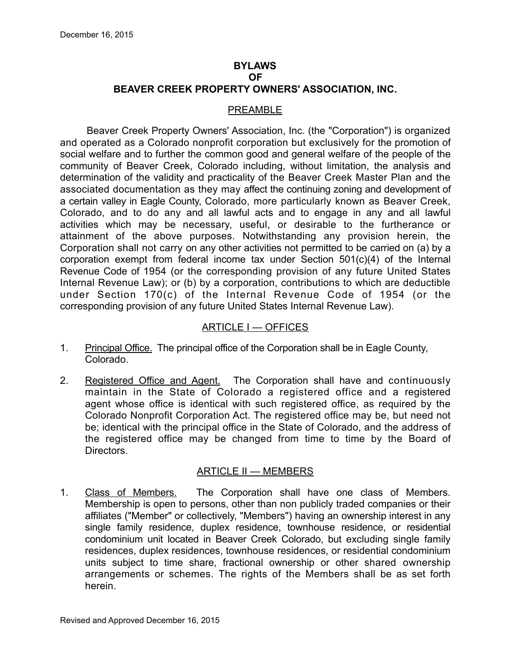#### **BYLAWS OF BEAVER CREEK PROPERTY OWNERS' ASSOCIATION, INC.**

#### PREAMBLE

Beaver Creek Property Owners' Association, Inc. (the "Corporation") is organized and operated as a Colorado nonprofit corporation but exclusively for the promotion of social welfare and to further the common good and general welfare of the people of the community of Beaver Creek, Colorado including, without limitation, the analysis and determination of the validity and practicality of the Beaver Creek Master Plan and the associated documentation as they may affect the continuing zoning and development of a certain valley in Eagle County, Colorado, more particularly known as Beaver Creek, Colorado, and to do any and all lawful acts and to engage in any and all lawful activities which may be necessary, useful, or desirable to the furtherance or attainment of the above purposes. Notwithstanding any provision herein, the Corporation shall not carry on any other activities not permitted to be carried on (a) by a corporation exempt from federal income tax under Section 501(c)(4) of the Internal Revenue Code of 1954 (or the corresponding provision of any future United States Internal Revenue Law); or (b) by a corporation, contributions to which are deductible under Section 170(c) of the Internal Revenue Code of 1954 (or the corresponding provision of any future United States Internal Revenue Law).

### ARTICLE I — OFFICES

- 1. Principal Office. The principal office of the Corporation shall be in Eagle County, Colorado.
- 2. Registered Office and Agent. The Corporation shall have and continuously maintain in the State of Colorado a registered office and a registered agent whose office is identical with such registered office, as required by the Colorado Nonprofit Corporation Act. The registered office may be, but need not be; identical with the principal office in the State of Colorado, and the address of the registered office may be changed from time to time by the Board of Directors.

#### ARTICLE II — MEMBERS

1. Class of Members. The Corporation shall have one class of Members. Membership is open to persons, other than non publicly traded companies or their affiliates ("Member" or collectively, "Members") having an ownership interest in any single family residence, duplex residence, townhouse residence, or residential condominium unit located in Beaver Creek Colorado, but excluding single family residences, duplex residences, townhouse residences, or residential condominium units subject to time share, fractional ownership or other shared ownership arrangements or schemes. The rights of the Members shall be as set forth herein.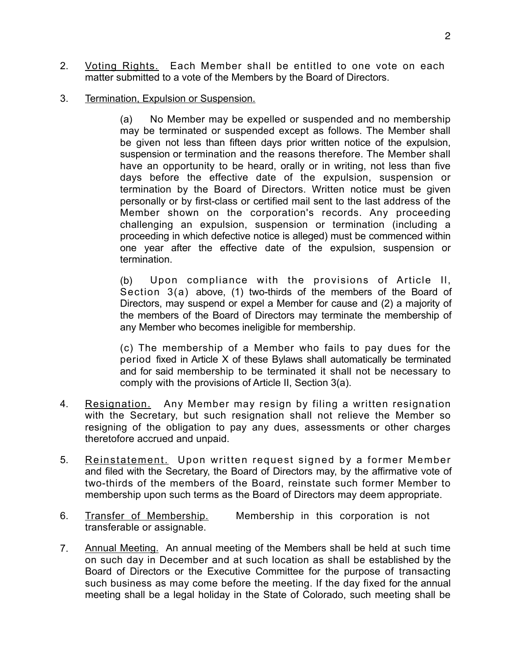- 2. Voting Rights. Each Member shall be entitled to one vote on each matter submitted to a vote of the Members by the Board of Directors.
- 3. Termination, Expulsion or Suspension.

(a) No Member may be expelled or suspended and no membership may be terminated or suspended except as follows. The Member shall be given not less than fifteen days prior written notice of the expulsion, suspension or termination and the reasons therefore. The Member shall have an opportunity to be heard, orally or in writing, not less than five days before the effective date of the expulsion, suspension or termination by the Board of Directors. Written notice must be given personally or by first-class or certified mail sent to the last address of the Member shown on the corporation's records. Any proceeding challenging an expulsion, suspension or termination (including a proceeding in which defective notice is alleged) must be commenced within one year after the effective date of the expulsion, suspension or termination.

(b) Upon compliance with the provisions of Article Il, Section 3(a) above, (1) two-thirds of the members of the Board of Directors, may suspend or expel a Member for cause and (2) a majority of the members of the Board of Directors may terminate the membership of any Member who becomes ineligible for membership.

(c) The membership of a Member who fails to pay dues for the period fixed in Article X of these Bylaws shall automatically be terminated and for said membership to be terminated it shall not be necessary to comply with the provisions of Article II, Section 3(a).

- 4. Resignation. Any Member may resign by filing a written resignation with the Secretary, but such resignation shall not relieve the Member so resigning of the obligation to pay any dues, assessments or other charges theretofore accrued and unpaid.
- 5. Reinstatement. Upon written request signed by a former Member and filed with the Secretary, the Board of Directors may, by the affirmative vote of two-thirds of the members of the Board, reinstate such former Member to membership upon such terms as the Board of Directors may deem appropriate.
- 6. Transfer of Membership. Membership in this corporation is not transferable or assignable.
- 7. Annual Meeting. An annual meeting of the Members shall be held at such time on such day in December and at such location as shall be established by the Board of Directors or the Executive Committee for the purpose of transacting such business as may come before the meeting. If the day fixed for the annual meeting shall be a legal holiday in the State of Colorado, such meeting shall be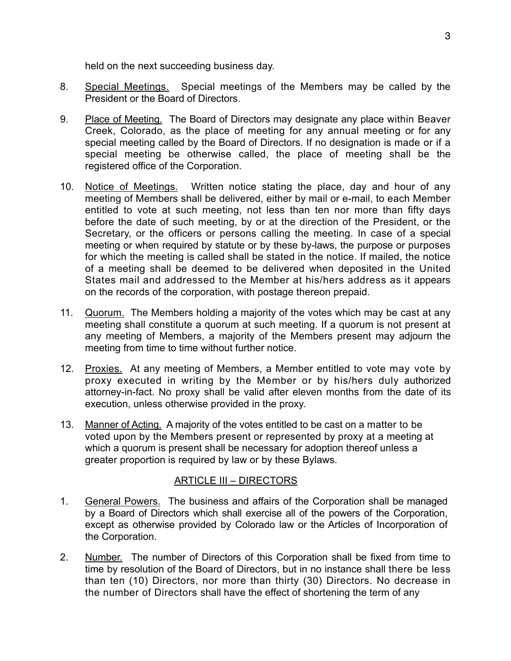held on the next succeeding business day.

- 8. Special Meetings. Special meetings of the Members may be called by the President or the Board of Directors.
- 9. Place of Meeting. The Board of Directors may designate any place within Beaver Creek, Colorado, as the place of meeting for any annual meeting or for any special meeting called by the Board of Directors. If no designation is made or if a special meeting be otherwise called, the place of meeting shall be the registered office of the Corporation.
- 10. Notice of Meetings. Written notice stating the place, day and hour of any meeting of Members shall be delivered, either by mail or e-mail, to each Member entitled to vote at such meeting, not less than ten nor more than fifty days before the date of such meeting, by or at the direction of the President, or the Secretary, or the officers or persons calling the meeting. In case of a special meeting or when required by statute or by these by-laws, the purpose or purposes for which the meeting is called shall be stated in the notice. If mailed, the notice of a meeting shall be deemed to be delivered when deposited in the United States mail and addressed to the Member at his/hers address as it appears on the records of the corporation, with postage thereon prepaid.
- 11. Quorum. The Members holding a majority of the votes which may be cast at any meeting shall constitute a quorum at such meeting. If a quorum is not present at any meeting of Members, a majority of the Members present may adjourn the meeting from time to time without further notice.
- 12. Proxies. At any meeting of Members, a Member entitled to vote may vote by proxy executed in writing by the Member or by his/hers duly authorized attorney-in-fact. No proxy shall be valid after eleven months from the date of its execution, unless otherwise provided in the proxy.
- 13. Manner of Acting. A majority of the votes entitled to be cast on a matter to be voted upon by the Members present or represented by proxy at a meeting at which a quorum is present shall be necessary for adoption thereof unless a greater proportion is required by law or by these Bylaws.

#### ARTICLE III – DIRECTORS

- 1. General Powers. The business and affairs of the Corporation shall be managed by a Board of Directors which shall exercise all of the powers of the Corporation, except as otherwise provided by Colorado law or the Articles of Incorporation of the Corporation.
- 2. Number. The number of Directors of this Corporation shall be fixed from time to time by resolution of the Board of Directors, but in no instance shall there be less than ten (10) Directors, nor more than thirty (30) Directors. No decrease in the number of Directors shall have the effect of shortening the term of any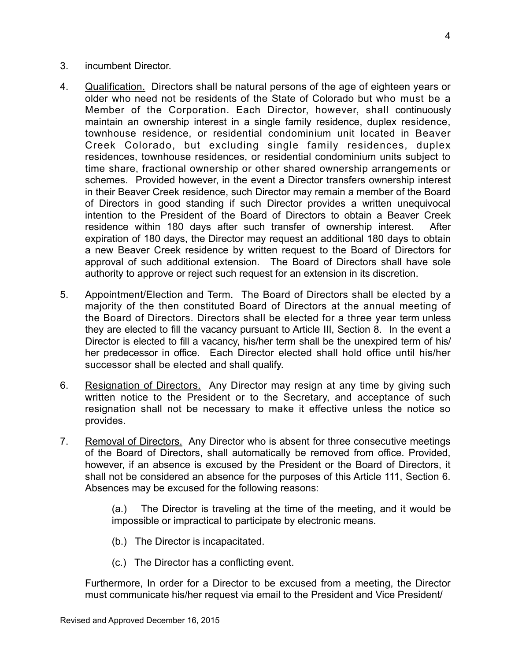- 3. incumbent Director.
- 4. Qualification. Directors shall be natural persons of the age of eighteen years or older who need not be residents of the State of Colorado but who must be a Member of the Corporation. Each Director, however, shall continuously maintain an ownership interest in a single family residence, duplex residence, townhouse residence, or residential condominium unit located in Beaver Creek Colorado, but excluding single family residences, duplex residences, townhouse residences, or residential condominium units subject to time share, fractional ownership or other shared ownership arrangements or schemes. Provided however, in the event a Director transfers ownership interest in their Beaver Creek residence, such Director may remain a member of the Board of Directors in good standing if such Director provides a written unequivocal intention to the President of the Board of Directors to obtain a Beaver Creek residence within 180 days after such transfer of ownership interest. After expiration of 180 days, the Director may request an additional 180 days to obtain a new Beaver Creek residence by written request to the Board of Directors for approval of such additional extension. The Board of Directors shall have sole authority to approve or reject such request for an extension in its discretion.
- 5. Appointment/Election and Term. The Board of Directors shall be elected by a majority of the then constituted Board of Directors at the annual meeting of the Board of Directors. Directors shall be elected for a three year term unless they are elected to fill the vacancy pursuant to Article III, Section 8. In the event a Director is elected to fill a vacancy, his/her term shall be the unexpired term of his/ her predecessor in office. Each Director elected shall hold office until his/her successor shall be elected and shall qualify.
- 6. Resignation of Directors. Any Director may resign at any time by giving such written notice to the President or to the Secretary, and acceptance of such resignation shall not be necessary to make it effective unless the notice so provides.
- 7. Removal of Directors. Any Director who is absent for three consecutive meetings of the Board of Directors, shall automatically be removed from office. Provided, however, if an absence is excused by the President or the Board of Directors, it shall not be considered an absence for the purposes of this Article 111, Section 6. Absences may be excused for the following reasons:

(a.) The Director is traveling at the time of the meeting, and it would be impossible or impractical to participate by electronic means.

- (b.) The Director is incapacitated.
- (c.) The Director has a conflicting event.

Furthermore, In order for a Director to be excused from a meeting, the Director must communicate his/her request via email to the President and Vice President/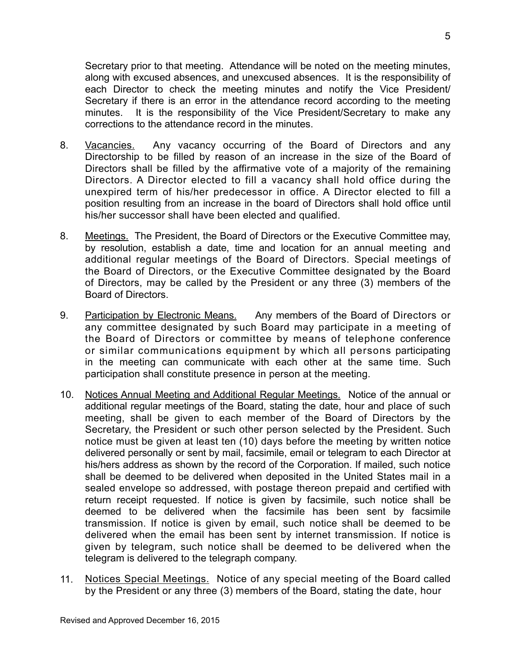Secretary prior to that meeting. Attendance will be noted on the meeting minutes, along with excused absences, and unexcused absences. It is the responsibility of each Director to check the meeting minutes and notify the Vice President/ Secretary if there is an error in the attendance record according to the meeting minutes. It is the responsibility of the Vice President/Secretary to make any corrections to the attendance record in the minutes.

- 8. Vacancies. Any vacancy occurring of the Board of Directors and any Directorship to be filled by reason of an increase in the size of the Board of Directors shall be filled by the affirmative vote of a majority of the remaining Directors. A Director elected to fill a vacancy shall hold office during the unexpired term of his/her predecessor in office. A Director elected to fill a position resulting from an increase in the board of Directors shall hold office until his/her successor shall have been elected and qualified.
- 8. Meetings. The President, the Board of Directors or the Executive Committee may, by resolution, establish a date, time and location for an annual meeting and additional regular meetings of the Board of Directors. Special meetings of the Board of Directors, or the Executive Committee designated by the Board of Directors, may be called by the President or any three (3) members of the Board of Directors.
- 9. Participation by Electronic Means. Any members of the Board of Directors or any committee designated by such Board may participate in a meeting of the Board of Directors or committee by means of telephone conference or similar communications equipment by which all persons participating in the meeting can communicate with each other at the same time. Such participation shall constitute presence in person at the meeting.
- 10. Notices Annual Meeting and Additional Regular Meetings. Notice of the annual or additional regular meetings of the Board, stating the date, hour and place of such meeting, shall be given to each member of the Board of Directors by the Secretary, the President or such other person selected by the President. Such notice must be given at least ten (10) days before the meeting by written notice delivered personally or sent by mail, facsimile, email or telegram to each Director at his/hers address as shown by the record of the Corporation. If mailed, such notice shall be deemed to be delivered when deposited in the United States mail in a sealed envelope so addressed, with postage thereon prepaid and certified with return receipt requested. If notice is given by facsimile, such notice shall be deemed to be delivered when the facsimile has been sent by facsimile transmission. If notice is given by email, such notice shall be deemed to be delivered when the email has been sent by internet transmission. If notice is given by telegram, such notice shall be deemed to be delivered when the telegram is delivered to the telegraph company.
- 11. Notices Special Meetings. Notice of any special meeting of the Board called by the President or any three (3) members of the Board, stating the date, hour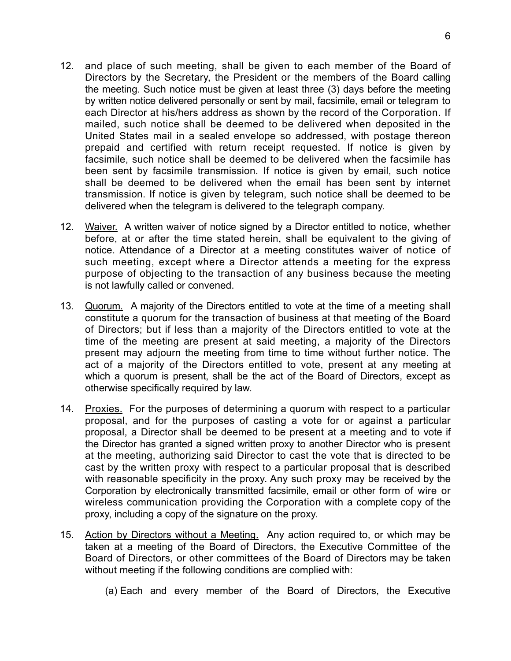- 12. and place of such meeting, shall be given to each member of the Board of Directors by the Secretary, the President or the members of the Board calling the meeting. Such notice must be given at least three (3) days before the meeting by written notice delivered personally or sent by mail, facsimile, email or telegram to each Director at his/hers address as shown by the record of the Corporation. If mailed, such notice shall be deemed to be delivered when deposited in the United States mail in a sealed envelope so addressed, with postage thereon prepaid and certified with return receipt requested. If notice is given by facsimile, such notice shall be deemed to be delivered when the facsimile has been sent by facsimile transmission. If notice is given by email, such notice shall be deemed to be delivered when the email has been sent by internet transmission. If notice is given by telegram, such notice shall be deemed to be delivered when the telegram is delivered to the telegraph company.
- 12. Waiver. A written waiver of notice signed by a Director entitled to notice, whether before, at or after the time stated herein, shall be equivalent to the giving of notice. Attendance of a Director at a meeting constitutes waiver of notice of such meeting, except where a Director attends a meeting for the express purpose of objecting to the transaction of any business because the meeting is not lawfully called or convened.
- 13. Quorum. A majority of the Directors entitled to vote at the time of a meeting shall constitute a quorum for the transaction of business at that meeting of the Board of Directors; but if less than a majority of the Directors entitled to vote at the time of the meeting are present at said meeting, a majority of the Directors present may adjourn the meeting from time to time without further notice. The act of a majority of the Directors entitled to vote, present at any meeting at which a quorum is present, shall be the act of the Board of Directors, except as otherwise specifically required by law.
- 14. Proxies. For the purposes of determining a quorum with respect to a particular proposal, and for the purposes of casting a vote for or against a particular proposal, a Director shall be deemed to be present at a meeting and to vote if the Director has granted a signed written proxy to another Director who is present at the meeting, authorizing said Director to cast the vote that is directed to be cast by the written proxy with respect to a particular proposal that is described with reasonable specificity in the proxy. Any such proxy may be received by the Corporation by electronically transmitted facsimile, email or other form of wire or wireless communication providing the Corporation with a complete copy of the proxy, including a copy of the signature on the proxy.
- 15. Action by Directors without a Meeting. Any action required to, or which may be taken at a meeting of the Board of Directors, the Executive Committee of the Board of Directors, or other committees of the Board of Directors may be taken without meeting if the following conditions are complied with:
	- (a) Each and every member of the Board of Directors, the Executive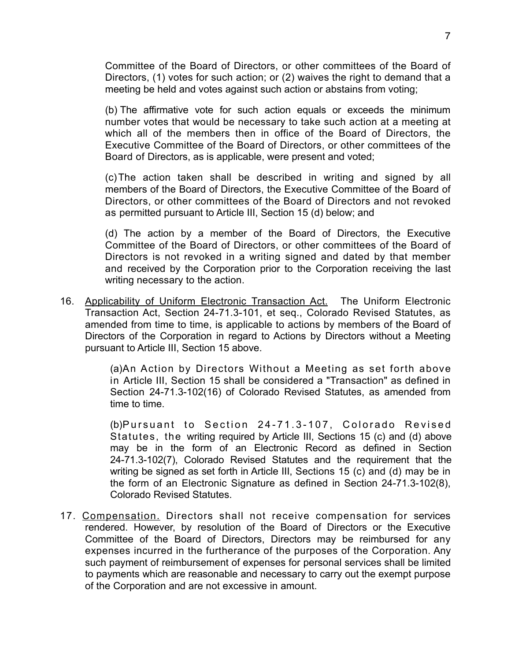Committee of the Board of Directors, or other committees of the Board of Directors, (1) votes for such action; or (2) waives the right to demand that a meeting be held and votes against such action or abstains from voting;

(b) The affirmative vote for such action equals or exceeds the minimum number votes that would be necessary to take such action at a meeting at which all of the members then in office of the Board of Directors, the Executive Committee of the Board of Directors, or other committees of the Board of Directors, as is applicable, were present and voted;

(c) The action taken shall be described in writing and signed by all members of the Board of Directors, the Executive Committee of the Board of Directors, or other committees of the Board of Directors and not revoked as permitted pursuant to Article III, Section 15 (d) below; and

(d) The action by a member of the Board of Directors, the Executive Committee of the Board of Directors, or other committees of the Board of Directors is not revoked in a writing signed and dated by that member and received by the Corporation prior to the Corporation receiving the last writing necessary to the action.

16. Applicability of Uniform Electronic Transaction Act. The Uniform Electronic Transaction Act, Section 24-71.3-101, et seq., Colorado Revised Statutes, as amended from time to time, is applicable to actions by members of the Board of Directors of the Corporation in regard to Actions by Directors without a Meeting pursuant to Article III, Section 15 above.

> (a)An Action by Directors Without a Meeting as set forth above in Article III, Section 15 shall be considered a "Transaction" as defined in Section 24-71.3-102(16) of Colorado Revised Statutes, as amended from time to time.

> (b)Pursuant to Section 24-71.3-107, Colorado Revised Statutes, the writing required by Article III, Sections 15 (c) and (d) above may be in the form of an Electronic Record as defined in Section 24-71.3-102(7), Colorado Revised Statutes and the requirement that the writing be signed as set forth in Article III, Sections 15 (c) and (d) may be in the form of an Electronic Signature as defined in Section 24-71.3-102(8), Colorado Revised Statutes.

17. Compensation. Directors shall not receive compensation for services rendered. However, by resolution of the Board of Directors or the Executive Committee of the Board of Directors, Directors may be reimbursed for any expenses incurred in the furtherance of the purposes of the Corporation. Any such payment of reimbursement of expenses for personal services shall be limited to payments which are reasonable and necessary to carry out the exempt purpose of the Corporation and are not excessive in amount.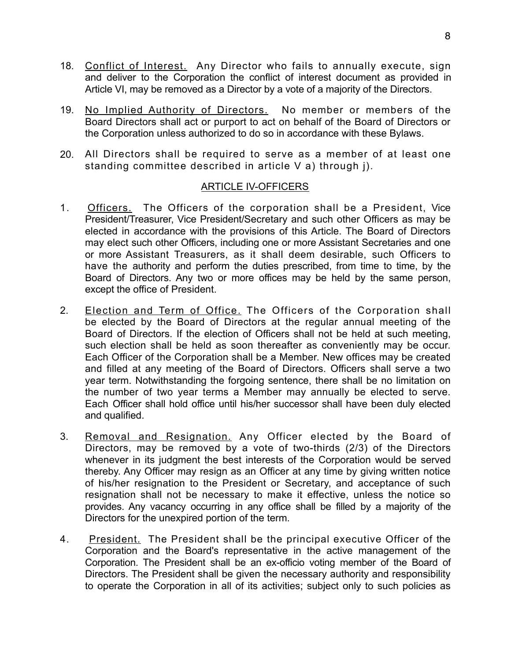- 18. Conflict of Interest. Any Director who fails to annually execute, sign and deliver to the Corporation the conflict of interest document as provided in Article VI, may be removed as a Director by a vote of a majority of the Directors.
- 19. No Implied Authority of Directors. No member or members of the Board Directors shall act or purport to act on behalf of the Board of Directors or the Corporation unless authorized to do so in accordance with these Bylaws.
- 20. All Directors shall be required to serve as a member of at least one standing committee described in article V a) through j).

### ARTICLE IV-OFFICERS

- 1. Officers. The Officers of the corporation shall be a President, Vice President/Treasurer, Vice President/Secretary and such other Officers as may be elected in accordance with the provisions of this Article. The Board of Directors may elect such other Officers, including one or more Assistant Secretaries and one or more Assistant Treasurers, as it shall deem desirable, such Officers to have the authority and perform the duties prescribed, from time to time, by the Board of Directors. Any two or more offices may be held by the same person, except the office of President.
- 2. Election and Term of Office. The Officers of the Corporation shall be elected by the Board of Directors at the regular annual meeting of the Board of Directors. If the election of Officers shall not be held at such meeting, such election shall be held as soon thereafter as conveniently may be occur. Each Officer of the Corporation shall be a Member. New offices may be created and filled at any meeting of the Board of Directors. Officers shall serve a two year term. Notwithstanding the forgoing sentence, there shall be no limitation on the number of two year terms a Member may annually be elected to serve. Each Officer shall hold office until his/her successor shall have been duly elected and qualified.
- 3. Removal and Resignation. Any Officer elected by the Board of Directors, may be removed by a vote of two-thirds (2/3) of the Directors whenever in its judgment the best interests of the Corporation would be served thereby. Any Officer may resign as an Officer at any time by giving written notice of his/her resignation to the President or Secretary, and acceptance of such resignation shall not be necessary to make it effective, unless the notice so provides. Any vacancy occurring in any office shall be filled by a majority of the Directors for the unexpired portion of the term.
- 4. President. The President shall be the principal executive Officer of the Corporation and the Board's representative in the active management of the Corporation. The President shall be an ex-officio voting member of the Board of Directors. The President shall be given the necessary authority and responsibility to operate the Corporation in all of its activities; subject only to such policies as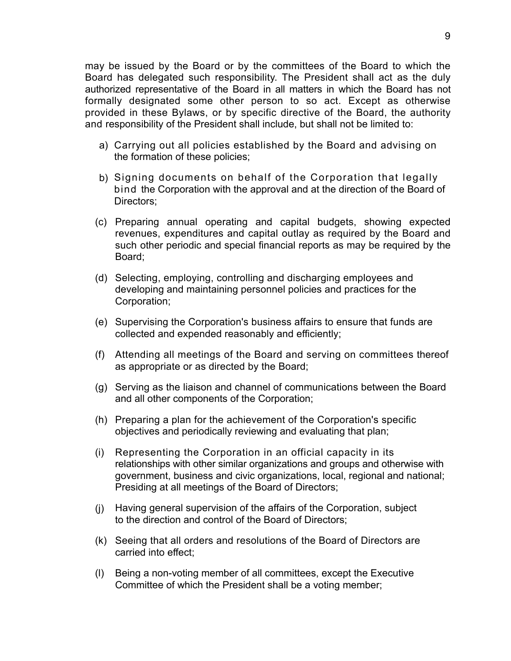may be issued by the Board or by the committees of the Board to which the Board has delegated such responsibility. The President shall act as the duly authorized representative of the Board in all matters in which the Board has not formally designated some other person to so act. Except as otherwise provided in these Bylaws, or by specific directive of the Board, the authority and responsibility of the President shall include, but shall not be limited to:

- a) Carrying out all policies established by the Board and advising on the formation of these policies;
- b) Signing documents on behalf of the Corporation that legally bind the Corporation with the approval and at the direction of the Board of Directors;
- (c) Preparing annual operating and capital budgets, showing expected revenues, expenditures and capital outlay as required by the Board and such other periodic and special financial reports as may be required by the Board;
- (d) Selecting, employing, controlling and discharging employees and developing and maintaining personnel policies and practices for the Corporation;
- (e) Supervising the Corporation's business affairs to ensure that funds are collected and expended reasonably and efficiently;
- (f) Attending all meetings of the Board and serving on committees thereof as appropriate or as directed by the Board;
- (g) Serving as the liaison and channel of communications between the Board and all other components of the Corporation;
- (h) Preparing a plan for the achievement of the Corporation's specific objectives and periodically reviewing and evaluating that plan;
- (i) Representing the Corporation in an official capacity in its relationships with other similar organizations and groups and otherwise with government, business and civic organizations, local, regional and national; Presiding at all meetings of the Board of Directors;
- (j) Having general supervision of the affairs of the Corporation, subject to the direction and control of the Board of Directors;
- (k) Seeing that all orders and resolutions of the Board of Directors are carried into effect;
- (l) Being a non-voting member of all committees, except the Executive Committee of which the President shall be a voting member;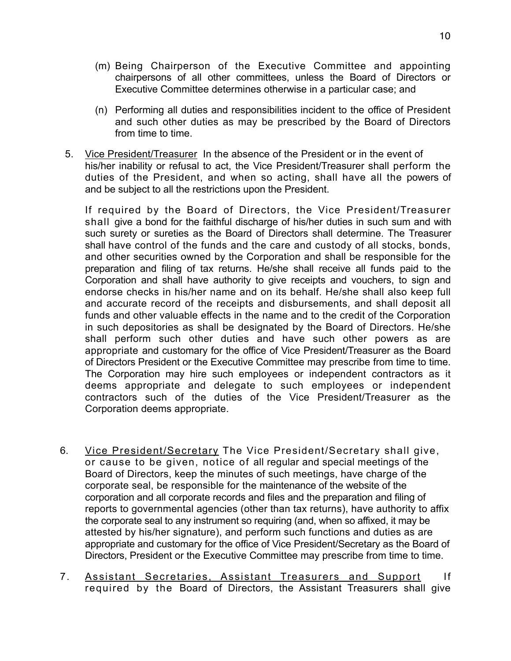- (m) Being Chairperson of the Executive Committee and appointing chairpersons of all other committees, unless the Board of Directors or Executive Committee determines otherwise in a particular case; and
- (n) Performing all duties and responsibilities incident to the office of President and such other duties as may be prescribed by the Board of Directors from time to time.
- 5. Vice President/Treasurer In the absence of the President or in the event of his/her inability or refusal to act, the Vice President/Treasurer shall perform the duties of the President, and when so acting, shall have all the powers of and be subject to all the restrictions upon the President.

If required by the Board of Directors, the Vice President/Treasurer shall give a bond for the faithful discharge of his/her duties in such sum and with such surety or sureties as the Board of Directors shall determine. The Treasurer shall have control of the funds and the care and custody of all stocks, bonds, and other securities owned by the Corporation and shall be responsible for the preparation and filing of tax returns. He/she shall receive all funds paid to the Corporation and shall have authority to give receipts and vouchers, to sign and endorse checks in his/her name and on its behalf. He/she shall also keep full and accurate record of the receipts and disbursements, and shall deposit all funds and other valuable effects in the name and to the credit of the Corporation in such depositories as shall be designated by the Board of Directors. He/she shall perform such other duties and have such other powers as are appropriate and customary for the office of Vice President/Treasurer as the Board of Directors President or the Executive Committee may prescribe from time to time. The Corporation may hire such employees or independent contractors as it deems appropriate and delegate to such employees or independent contractors such of the duties of the Vice President/Treasurer as the Corporation deems appropriate.

- 6. Vice President/Secretary The Vice President/Secretary shall give, or cause to be given, notice of all regular and special meetings of the Board of Directors, keep the minutes of such meetings, have charge of the corporate seal, be responsible for the maintenance of the website of the corporation and all corporate records and files and the preparation and filing of reports to governmental agencies (other than tax returns), have authority to affix the corporate seal to any instrument so requiring (and, when so affixed, it may be attested by his/her signature), and perform such functions and duties as are appropriate and customary for the office of Vice President/Secretary as the Board of Directors, President or the Executive Committee may prescribe from time to time.
- 7. Assistant Secretaries, Assistant Treasurers and Support If required by the Board of Directors, the Assistant Treasurers shall give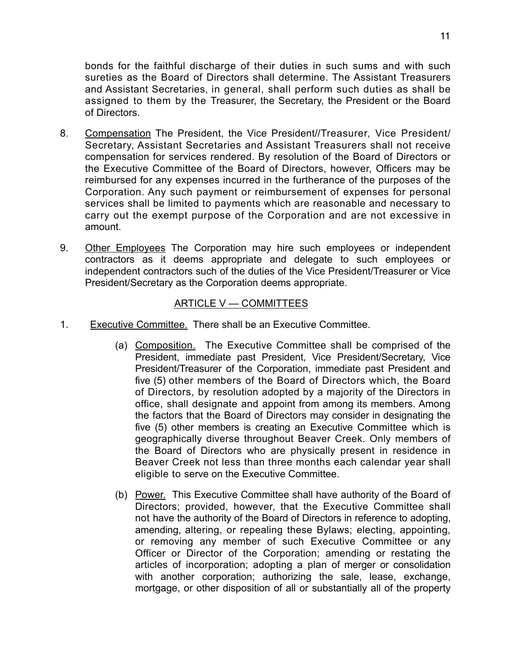bonds for the faithful discharge of their duties in such sums and with such sureties as the Board of Directors shall determine. The Assistant Treasurers and Assistant Secretaries, in general, shall perform such duties as shall be assigned to them by the Treasurer, the Secretary, the President or the Board of Directors.

- 8. Compensation The President, the Vice President//Treasurer, Vice President/ Secretary, Assistant Secretaries and Assistant Treasurers shall not receive compensation for services rendered. By resolution of the Board of Directors or the Executive Committee of the Board of Directors, however, Officers may be reimbursed for any expenses incurred in the furtherance of the purposes of the Corporation. Any such payment or reimbursement of expenses for personal services shall be limited to payments which are reasonable and necessary to carry out the exempt purpose of the Corporation and are not excessive in amount.
- 9. Other Employees The Corporation may hire such employees or independent contractors as it deems appropriate and delegate to such employees or independent contractors such of the duties of the Vice President/Treasurer or Vice President/Secretary as the Corporation deems appropriate.

#### ARTICLE V — COMMITTEES

- 1. Executive Committee. There shall be an Executive Committee.
	- (a) Composition. The Executive Committee shall be comprised of the President, immediate past President, Vice President/Secretary, Vice President/Treasurer of the Corporation, immediate past President and five (5) other members of the Board of Directors which, the Board of Directors, by resolution adopted by a majority of the Directors in office, shall designate and appoint from among its members. Among the factors that the Board of Directors may consider in designating the five (5) other members is creating an Executive Committee which is geographically diverse throughout Beaver Creek. Only members of the Board of Directors who are physically present in residence in Beaver Creek not less than three months each calendar year shall eligible to serve on the Executive Committee.
	- (b) Power. This Executive Committee shall have authority of the Board of Directors; provided, however, that the Executive Committee shall not have the authority of the Board of Directors in reference to adopting, amending, altering, or repealing these Bylaws; electing, appointing, or removing any member of such Executive Committee or any Officer or Director of the Corporation; amending or restating the articles of incorporation; adopting a plan of merger or consolidation with another corporation; authorizing the sale, lease, exchange, mortgage, or other disposition of all or substantially all of the property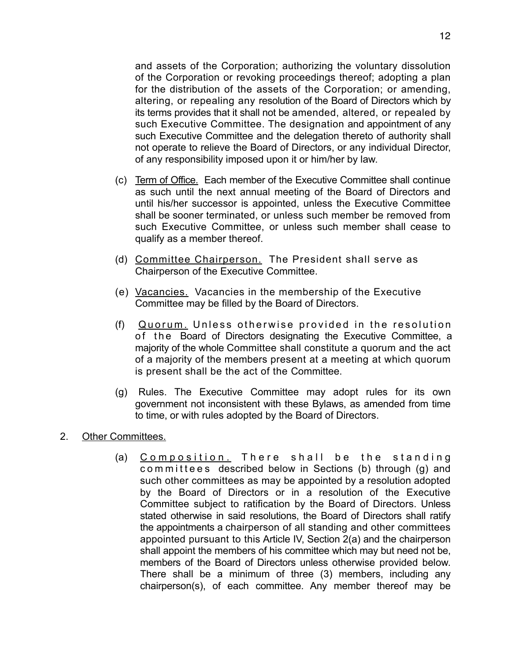and assets of the Corporation; authorizing the voluntary dissolution of the Corporation or revoking proceedings thereof; adopting a plan for the distribution of the assets of the Corporation; or amending, altering, or repealing any resolution of the Board of Directors which by its terms provides that it shall not be amended, altered, or repealed by such Executive Committee. The designation and appointment of any such Executive Committee and the delegation thereto of authority shall not operate to relieve the Board of Directors, or any individual Director, of any responsibility imposed upon it or him/her by law.

- (c) Term of Office. Each member of the Executive Committee shall continue as such until the next annual meeting of the Board of Directors and until his/her successor is appointed, unless the Executive Committee shall be sooner terminated, or unless such member be removed from such Executive Committee, or unless such member shall cease to qualify as a member thereof.
- (d) Committee Chairperson. The President shall serve as Chairperson of the Executive Committee.
- (e) Vacancies. Vacancies in the membership of the Executive Committee may be filled by the Board of Directors.
- (f) Quorum. Unless otherwise provided in the resolution of the Board of Directors designating the Executive Committee, a majority of the whole Committee shall constitute a quorum and the act of a majority of the members present at a meeting at which quorum is present shall be the act of the Committee.
- (g) Rules. The Executive Committee may adopt rules for its own government not inconsistent with these Bylaws, as amended from time to time, or with rules adopted by the Board of Directors.
- 2. Other Committees.
	- (a) Composition. There shall be the standing committees described below in Sections (b) through (g) and such other committees as may be appointed by a resolution adopted by the Board of Directors or in a resolution of the Executive Committee subject to ratification by the Board of Directors. Unless stated otherwise in said resolutions, the Board of Directors shall ratify the appointments a chairperson of all standing and other committees appointed pursuant to this Article IV, Section 2(a) and the chairperson shall appoint the members of his committee which may but need not be, members of the Board of Directors unless otherwise provided below. There shall be a minimum of three (3) members, including any chairperson(s), of each committee. Any member thereof may be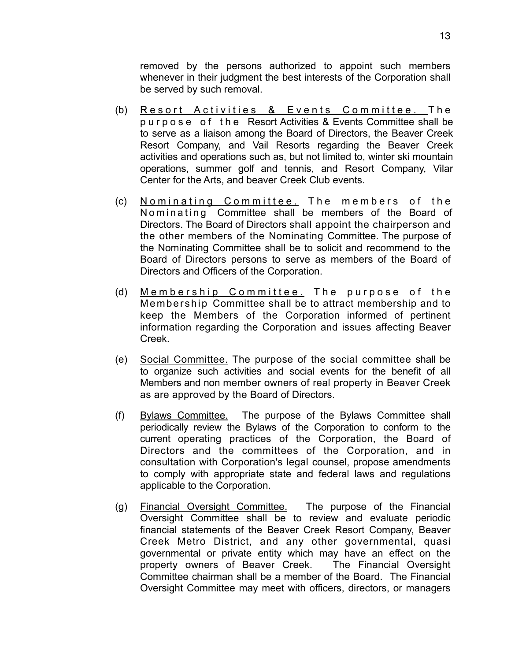removed by the persons authorized to appoint such members whenever in their judgment the best interests of the Corporation shall be served by such removal.

- (b) Resort Activities & Events Committee. The purpose of the Resort Activities & Events Committee shall be to serve as a liaison among the Board of Directors, the Beaver Creek Resort Company, and Vail Resorts regarding the Beaver Creek activities and operations such as, but not limited to, winter ski mountain operations, summer golf and tennis, and Resort Company, Vilar Center for the Arts, and beaver Creek Club events.
- (c) Nominating Committee. The members of the Nominating Committee shall be members of the Board of Directors. The Board of Directors shall appoint the chairperson and the other members of the Nominating Committee. The purpose of the Nominating Committee shall be to solicit and recommend to the Board of Directors persons to serve as members of the Board of Directors and Officers of the Corporation.
- (d) Membership Committee. The purpose of the Membership Committee shall be to attract membership and to keep the Members of the Corporation informed of pertinent information regarding the Corporation and issues affecting Beaver Creek.
- (e) Social Committee. The purpose of the social committee shall be to organize such activities and social events for the benefit of all Members and non member owners of real property in Beaver Creek as are approved by the Board of Directors.
- (f) Bylaws Committee. The purpose of the Bylaws Committee shall periodically review the Bylaws of the Corporation to conform to the current operating practices of the Corporation, the Board of Directors and the committees of the Corporation, and in consultation with Corporation's legal counsel, propose amendments to comply with appropriate state and federal laws and regulations applicable to the Corporation.
- (g) Financial Oversight Committee. The purpose of the Financial Oversight Committee shall be to review and evaluate periodic financial statements of the Beaver Creek Resort Company, Beaver Creek Metro District, and any other governmental, quasi governmental or private entity which may have an effect on the property owners of Beaver Creek. The Financial Oversight Committee chairman shall be a member of the Board. The Financial Oversight Committee may meet with officers, directors, or managers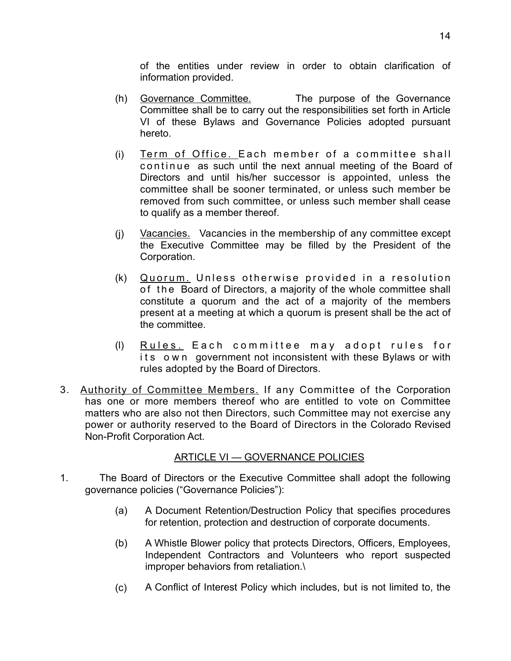of the entities under review in order to obtain clarification of information provided.

- (h) Governance Committee. The purpose of the Governance Committee shall be to carry out the responsibilities set forth in Article VI of these Bylaws and Governance Policies adopted pursuant hereto.
- (i) Term of Office. Each member of a committee shall continue as such until the next annual meeting of the Board of Directors and until his/her successor is appointed, unless the committee shall be sooner terminated, or unless such member be removed from such committee, or unless such member shall cease to qualify as a member thereof.
- (j) Vacancies. Vacancies in the membership of any committee except the Executive Committee may be filled by the President of the Corporation.
- (k) Quorum. Unless otherwise provided in a resolution of the Board of Directors, a majority of the whole committee shall constitute a quorum and the act of a majority of the members present at a meeting at which a quorum is present shall be the act of the committee.
- (l) Rules. Each committee may adopt rules for its own government not inconsistent with these Bylaws or with rules adopted by the Board of Directors.
- 3. Authority of Committee Members. If any Committee of the Corporation has one or more members thereof who are entitled to vote on Committee matters who are also not then Directors, such Committee may not exercise any power or authority reserved to the Board of Directors in the Colorado Revised Non-Profit Corporation Act.

# ARTICLE VI — GOVERNANCE POLICIES

- 1. The Board of Directors or the Executive Committee shall adopt the following governance policies ("Governance Policies"):
	- (a) A Document Retention/Destruction Policy that specifies procedures for retention, protection and destruction of corporate documents.
	- (b) A Whistle Blower policy that protects Directors, Officers, Employees, Independent Contractors and Volunteers who report suspected improper behaviors from retaliation.\
	- (c) A Conflict of Interest Policy which includes, but is not limited to, the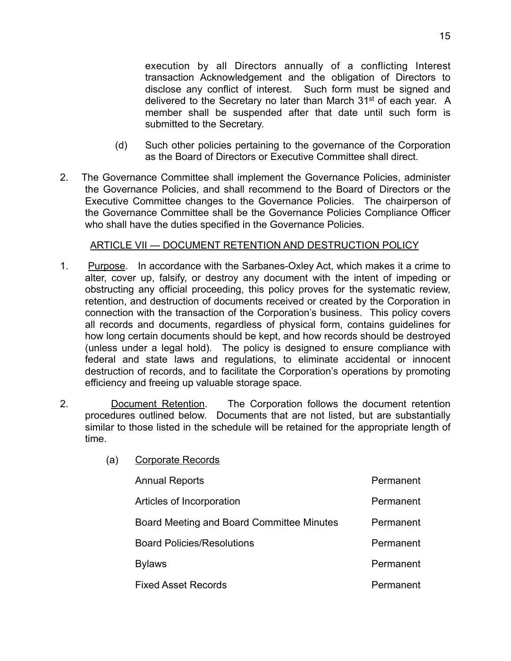execution by all Directors annually of a conflicting Interest transaction Acknowledgement and the obligation of Directors to disclose any conflict of interest. Such form must be signed and delivered to the Secretary no later than March 31<sup>st</sup> of each year. A member shall be suspended after that date until such form is submitted to the Secretary.

- (d) Such other policies pertaining to the governance of the Corporation as the Board of Directors or Executive Committee shall direct.
- 2. The Governance Committee shall implement the Governance Policies, administer the Governance Policies, and shall recommend to the Board of Directors or the Executive Committee changes to the Governance Policies. The chairperson of the Governance Committee shall be the Governance Policies Compliance Officer who shall have the duties specified in the Governance Policies.

# ARTICLE VII — DOCUMENT RETENTION AND DESTRUCTION POLICY

- 1. Purpose. In accordance with the Sarbanes-Oxley Act, which makes it a crime to alter, cover up, falsify, or destroy any document with the intent of impeding or obstructing any official proceeding, this policy proves for the systematic review, retention, and destruction of documents received or created by the Corporation in connection with the transaction of the Corporation's business. This policy covers all records and documents, regardless of physical form, contains guidelines for how long certain documents should be kept, and how records should be destroyed (unless under a legal hold). The policy is designed to ensure compliance with federal and state laws and regulations, to eliminate accidental or innocent destruction of records, and to facilitate the Corporation's operations by promoting efficiency and freeing up valuable storage space.
- 2. Document Retention. The Corporation follows the document retention procedures outlined below. Documents that are not listed, but are substantially similar to those listed in the schedule will be retained for the appropriate length of time.
	- (a) Corporate Records

| <b>Annual Reports</b>                     | Permanent |
|-------------------------------------------|-----------|
| Articles of Incorporation                 | Permanent |
| Board Meeting and Board Committee Minutes | Permanent |
| <b>Board Policies/Resolutions</b>         | Permanent |
| <b>Bylaws</b>                             | Permanent |
| <b>Fixed Asset Records</b>                | Permanent |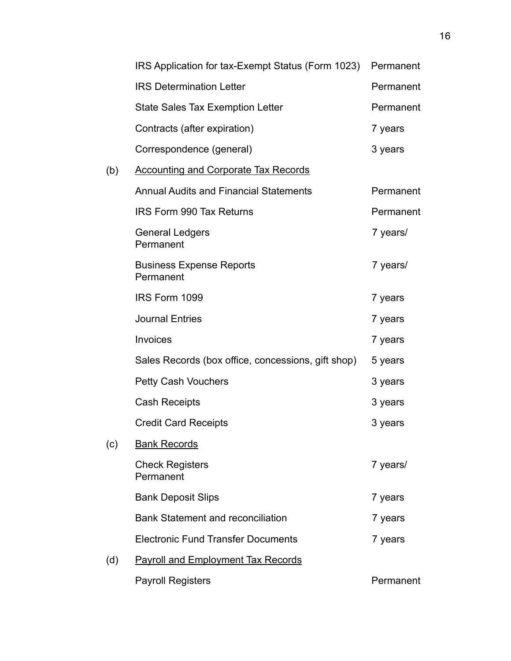|     | IRS Application for tax-Exempt Status (Form 1023)  | Permanent |
|-----|----------------------------------------------------|-----------|
|     | <b>IRS Determination Letter</b>                    | Permanent |
|     | <b>State Sales Tax Exemption Letter</b>            | Permanent |
|     | Contracts (after expiration)                       | 7 years   |
|     | Correspondence (general)                           | 3 years   |
| (b) | <b>Accounting and Corporate Tax Records</b>        |           |
|     | <b>Annual Audits and Financial Statements</b>      | Permanent |
|     | <b>IRS Form 990 Tax Returns</b>                    | Permanent |
|     | <b>General Ledgers</b><br>Permanent                | 7 years/  |
|     | <b>Business Expense Reports</b><br>Permanent       | 7 years/  |
|     | IRS Form 1099                                      | 7 years   |
|     | <b>Journal Entries</b>                             | 7 years   |
|     | Invoices                                           | 7 years   |
|     | Sales Records (box office, concessions, gift shop) | 5 years   |
|     | <b>Petty Cash Vouchers</b>                         | 3 years   |
|     | <b>Cash Receipts</b>                               | 3 years   |
|     | <b>Credit Card Receipts</b>                        | 3 years   |
| (c) | <b>Bank Records</b>                                |           |
|     | <b>Check Registers</b><br>Permanent                | 7 years/  |
|     | <b>Bank Deposit Slips</b>                          | 7 years   |
|     | <b>Bank Statement and reconciliation</b>           | 7 years   |
|     | <b>Electronic Fund Transfer Documents</b>          | 7 years   |
| (d) | <b>Payroll and Employment Tax Records</b>          |           |
|     | <b>Payroll Registers</b>                           | Permanent |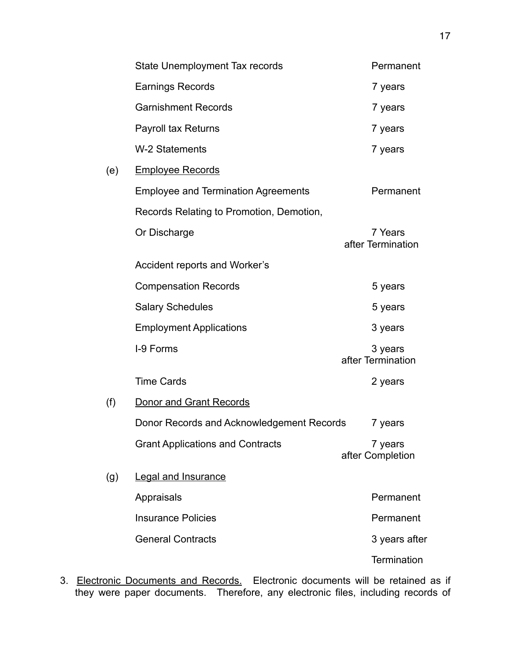|     | State Unemployment Tax records             | Permanent                    |
|-----|--------------------------------------------|------------------------------|
|     | <b>Earnings Records</b>                    | 7 years                      |
|     | <b>Garnishment Records</b>                 | 7 years                      |
|     | <b>Payroll tax Returns</b>                 | 7 years                      |
|     | W-2 Statements                             | 7 years                      |
| (e) | <b>Employee Records</b>                    |                              |
|     | <b>Employee and Termination Agreements</b> | Permanent                    |
|     | Records Relating to Promotion, Demotion,   |                              |
|     | Or Discharge                               | 7 Years<br>after Termination |
|     | Accident reports and Worker's              |                              |
|     | <b>Compensation Records</b>                | 5 years                      |
|     | <b>Salary Schedules</b>                    | 5 years                      |
|     | <b>Employment Applications</b>             | 3 years                      |
|     | I-9 Forms                                  | 3 years<br>after Termination |
|     | <b>Time Cards</b>                          | 2 years                      |
| (f) | <b>Donor and Grant Records</b>             |                              |
|     | Donor Records and Acknowledgement Records  | 7 years                      |
|     | <b>Grant Applications and Contracts</b>    | 7 years<br>after Completion  |
| (g) | <b>Legal and Insurance</b>                 |                              |
|     | Appraisals                                 | Permanent                    |
|     | <b>Insurance Policies</b>                  | Permanent                    |
|     | <b>General Contracts</b>                   | 3 years after                |
|     |                                            | <b>Termination</b>           |

3. Electronic Documents and Records. Electronic documents will be retained as if they were paper documents. Therefore, any electronic files, including records of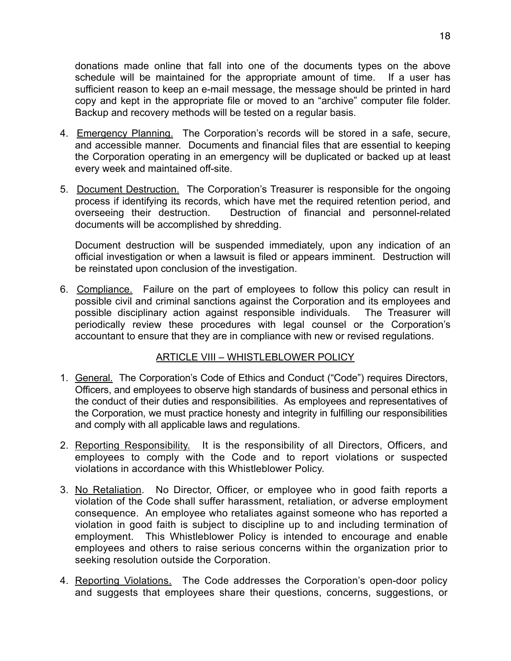donations made online that fall into one of the documents types on the above schedule will be maintained for the appropriate amount of time. If a user has sufficient reason to keep an e-mail message, the message should be printed in hard copy and kept in the appropriate file or moved to an "archive" computer file folder. Backup and recovery methods will be tested on a regular basis.

- 4. Emergency Planning. The Corporation's records will be stored in a safe, secure, and accessible manner. Documents and financial files that are essential to keeping the Corporation operating in an emergency will be duplicated or backed up at least every week and maintained off-site.
- 5. Document Destruction. The Corporation's Treasurer is responsible for the ongoing process if identifying its records, which have met the required retention period, and overseeing their destruction. Destruction of financial and personnel-related documents will be accomplished by shredding.

 Document destruction will be suspended immediately, upon any indication of an official investigation or when a lawsuit is filed or appears imminent. Destruction will be reinstated upon conclusion of the investigation.

6. Compliance. Failure on the part of employees to follow this policy can result in possible civil and criminal sanctions against the Corporation and its employees and possible disciplinary action against responsible individuals. The Treasurer will periodically review these procedures with legal counsel or the Corporation's accountant to ensure that they are in compliance with new or revised regulations.

# ARTICLE VIII – WHISTLEBLOWER POLICY

- 1. General. The Corporation's Code of Ethics and Conduct ("Code") requires Directors, Officers, and employees to observe high standards of business and personal ethics in the conduct of their duties and responsibilities. As employees and representatives of the Corporation, we must practice honesty and integrity in fulfilling our responsibilities and comply with all applicable laws and regulations.
- 2. Reporting Responsibility. It is the responsibility of all Directors, Officers, and employees to comply with the Code and to report violations or suspected violations in accordance with this Whistleblower Policy.
- 3. No Retaliation. No Director, Officer, or employee who in good faith reports a violation of the Code shall suffer harassment, retaliation, or adverse employment consequence. An employee who retaliates against someone who has reported a violation in good faith is subject to discipline up to and including termination of employment. This Whistleblower Policy is intended to encourage and enable employees and others to raise serious concerns within the organization prior to seeking resolution outside the Corporation.
- 4. Reporting Violations. The Code addresses the Corporation's open-door policy and suggests that employees share their questions, concerns, suggestions, or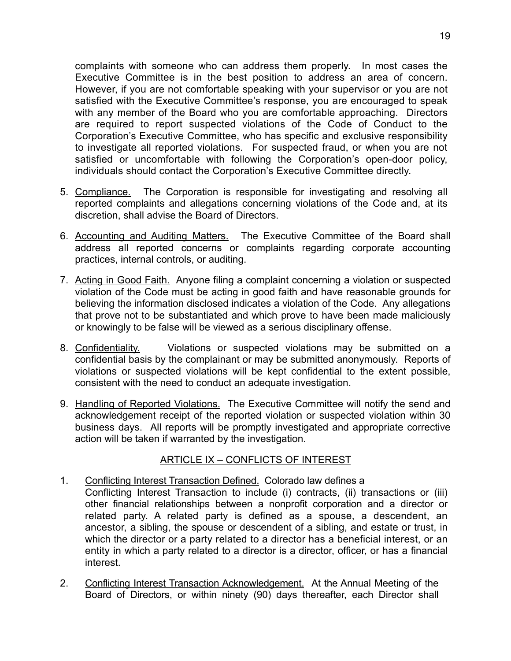complaints with someone who can address them properly. In most cases the Executive Committee is in the best position to address an area of concern. However, if you are not comfortable speaking with your supervisor or you are not satisfied with the Executive Committee's response, you are encouraged to speak with any member of the Board who you are comfortable approaching. Directors are required to report suspected violations of the Code of Conduct to the Corporation's Executive Committee, who has specific and exclusive responsibility to investigate all reported violations. For suspected fraud, or when you are not satisfied or uncomfortable with following the Corporation's open-door policy, individuals should contact the Corporation's Executive Committee directly.

- 5. Compliance. The Corporation is responsible for investigating and resolving all reported complaints and allegations concerning violations of the Code and, at its discretion, shall advise the Board of Directors.
- 6. Accounting and Auditing Matters. The Executive Committee of the Board shall address all reported concerns or complaints regarding corporate accounting practices, internal controls, or auditing.
- 7. Acting in Good Faith. Anyone filing a complaint concerning a violation or suspected violation of the Code must be acting in good faith and have reasonable grounds for believing the information disclosed indicates a violation of the Code. Any allegations that prove not to be substantiated and which prove to have been made maliciously or knowingly to be false will be viewed as a serious disciplinary offense.
- 8. Confidentiality. Violations or suspected violations may be submitted on a confidential basis by the complainant or may be submitted anonymously. Reports of violations or suspected violations will be kept confidential to the extent possible, consistent with the need to conduct an adequate investigation.
- 9. Handling of Reported Violations. The Executive Committee will notify the send and acknowledgement receipt of the reported violation or suspected violation within 30 business days. All reports will be promptly investigated and appropriate corrective action will be taken if warranted by the investigation.

# ARTICLE IX – CONFLICTS OF INTEREST

- 1. Conflicting Interest Transaction Defined. Colorado law defines a Conflicting Interest Transaction to include (i) contracts, (ii) transactions or (iii) other financial relationships between a nonprofit corporation and a director or related party. A related party is defined as a spouse, a descendent, an ancestor, a sibling, the spouse or descendent of a sibling, and estate or trust, in which the director or a party related to a director has a beneficial interest, or an entity in which a party related to a director is a director, officer, or has a financial interest.
- 2. Conflicting Interest Transaction Acknowledgement. At the Annual Meeting of the Board of Directors, or within ninety (90) days thereafter, each Director shall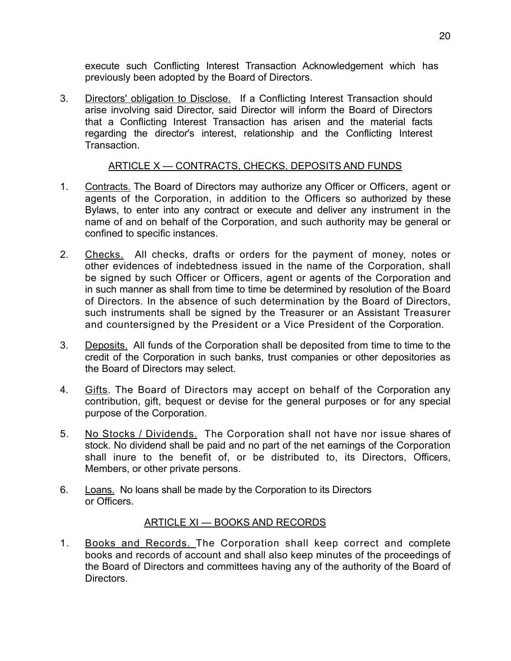execute such Conflicting Interest Transaction Acknowledgement which has previously been adopted by the Board of Directors.

3. Directors' obligation to Disclose. If a Conflicting Interest Transaction should arise involving said Director, said Director will inform the Board of Directors that a Conflicting Interest Transaction has arisen and the material facts regarding the director's interest, relationship and the Conflicting Interest **Transaction** 

### ARTICLE X — CONTRACTS, CHECKS, DEPOSITS AND FUNDS

- 1. Contracts. The Board of Directors may authorize any Officer or Officers, agent or agents of the Corporation, in addition to the Officers so authorized by these Bylaws, to enter into any contract or execute and deliver any instrument in the name of and on behalf of the Corporation, and such authority may be general or confined to specific instances.
- 2. Checks. All checks, drafts or orders for the payment of money, notes or other evidences of indebtedness issued in the name of the Corporation, shall be signed by such Officer or Officers, agent or agents of the Corporation and in such manner as shall from time to time be determined by resolution of the Board of Directors. In the absence of such determination by the Board of Directors, such instruments shall be signed by the Treasurer or an Assistant Treasurer and countersigned by the President or a Vice President of the Corporation.
- 3. Deposits. All funds of the Corporation shall be deposited from time to time to the credit of the Corporation in such banks, trust companies or other depositories as the Board of Directors may select.
- 4. Gifts. The Board of Directors may accept on behalf of the Corporation any contribution, gift, bequest or devise for the general purposes or for any special purpose of the Corporation.
- 5. No Stocks / Dividends. The Corporation shall not have nor issue shares of stock. No dividend shall be paid and no part of the net earnings of the Corporation shall inure to the benefit of, or be distributed to, its Directors, Officers, Members, or other private persons.
- 6. Loans. No loans shall be made by the Corporation to its Directors or Officers.

# ARTICLE XI — BOOKS AND RECORDS

1. Books and Records. The Corporation shall keep correct and complete books and records of account and shall also keep minutes of the proceedings of the Board of Directors and committees having any of the authority of the Board of **Directors**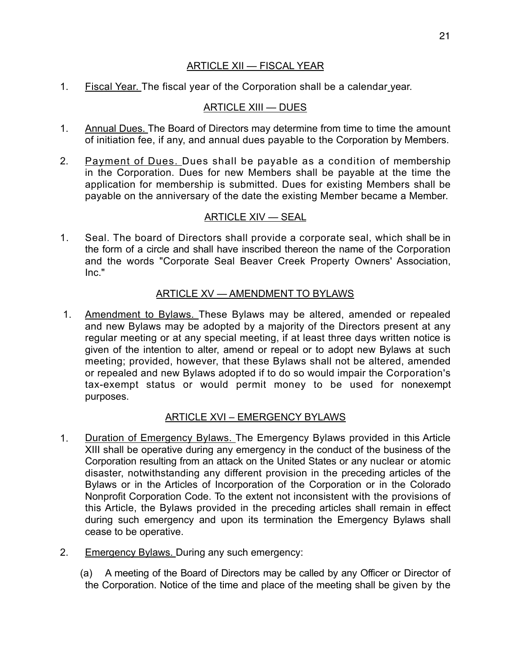#### ARTICLE XII — FISCAL YEAR

1. Fiscal Year. The fiscal year of the Corporation shall be a calendar year.

# ARTICLE XIII — DUES

- 1. Annual Dues. The Board of Directors may determine from time to time the amount of initiation fee, if any, and annual dues payable to the Corporation by Members.
- 2. Payment of Dues. Dues shall be payable as a condition of membership in the Corporation. Dues for new Members shall be payable at the time the application for membership is submitted. Dues for existing Members shall be payable on the anniversary of the date the existing Member became a Member.

# ARTICLE XIV — SEAL

1. Seal. The board of Directors shall provide a corporate seal, which shall be in the form of a circle and shall have inscribed thereon the name of the Corporation and the words "Corporate Seal Beaver Creek Property Owners' Association, Inc."

### ARTICLE XV — AMENDMENT TO BYLAWS

 1. Amendment to Bylaws. These Bylaws may be altered, amended or repealed and new Bylaws may be adopted by a majority of the Directors present at any regular meeting or at any special meeting, if at least three days written notice is given of the intention to alter, amend or repeal or to adopt new Bylaws at such meeting; provided, however, that these Bylaws shall not be altered, amended or repealed and new Bylaws adopted if to do so would impair the Corporation's tax-exempt status or would permit money to be used for nonexempt purposes.

# ARTICLE XVI – EMERGENCY BYLAWS

- 1. Duration of Emergency Bylaws. The Emergency Bylaws provided in this Article XIII shall be operative during any emergency in the conduct of the business of the Corporation resulting from an attack on the United States or any nuclear or atomic disaster, notwithstanding any different provision in the preceding articles of the Bylaws or in the Articles of Incorporation of the Corporation or in the Colorado Nonprofit Corporation Code. To the extent not inconsistent with the provisions of this Article, the Bylaws provided in the preceding articles shall remain in effect during such emergency and upon its termination the Emergency Bylaws shall cease to be operative.
- 2. Emergency Bylaws. During any such emergency:

(a) A meeting of the Board of Directors may be called by any Officer or Director of the Corporation. Notice of the time and place of the meeting shall be given by the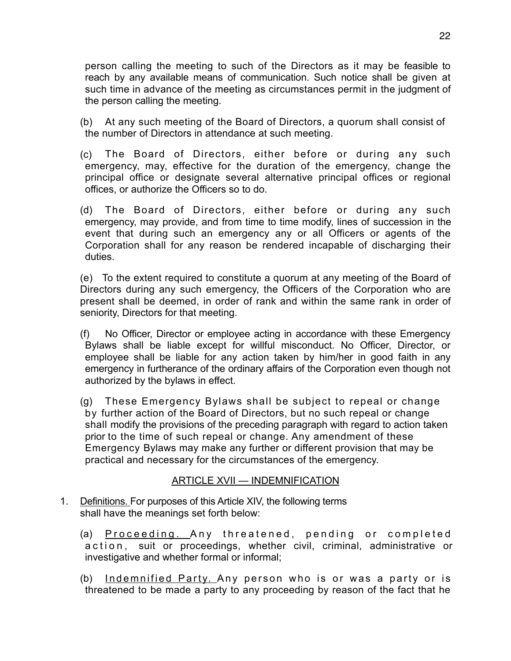person calling the meeting to such of the Directors as it may be feasible to reach by any available means of communication. Such notice shall be given at such time in advance of the meeting as circumstances permit in the judgment of the person calling the meeting.

(b) At any such meeting of the Board of Directors, a quorum shall consist of the number of Directors in attendance at such meeting.

- (c) The Board of Directors, either before or during any such emergency, may, effective for the duration of the emergency, change the principal office or designate several alternative principal offices or regional offices, or authorize the Officers so to do.
- (d) The Board of Directors, either before or during any such emergency, may provide, and from time to time modify, lines of succession in the event that during such an emergency any or all Officers or agents of the Corporation shall for any reason be rendered incapable of discharging their duties.

(e) To the extent required to constitute a quorum at any meeting of the Board of Directors during any such emergency, the Officers of the Corporation who are present shall be deemed, in order of rank and within the same rank in order of seniority, Directors for that meeting.

(f) No Officer, Director or employee acting in accordance with these Emergency Bylaws shall be liable except for willful misconduct. No Officer, Director, or employee shall be liable for any action taken by him/her in good faith in any emergency in furtherance of the ordinary affairs of the Corporation even though not authorized by the bylaws in effect.

(g) These Emergency Bylaws shall be subject to repeal or change by further action of the Board of Directors, but no such repeal or change shall modify the provisions of the preceding paragraph with regard to action taken prior to the time of such repeal or change. Any amendment of these Emergency Bylaws may make any further or different provision that may be practical and necessary for the circumstances of the emergency.

# ARTICLE XVII — INDEMNIFICATION

- 1. Definitions. For purposes of this Article XIV, the following terms shall have the meanings set forth below:
	- (a) Proceeding. Any threatened, pending or completed action, suit or proceedings, whether civil, criminal, administrative or investigative and whether formal or informal;
	- (b) Indemnified Party. Any person who is or was a party or is threatened to be made a party to any proceeding by reason of the fact that he